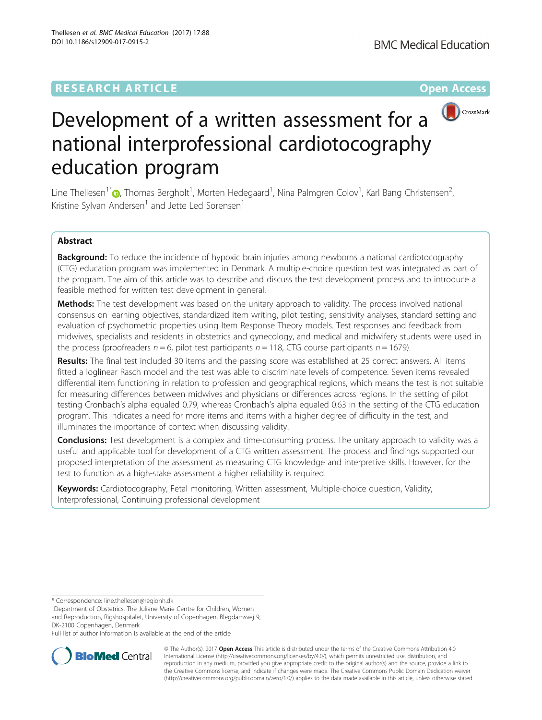## **RESEARCH ARTICLE Example 2014 12:30 The Community Community Community Community Community Community Community**



# Development of a written assessment for a national interprofessional cardiotocography education program

Line Thellesen<sup>1\*</sup> $\circledast$ [,](http://orcid.org/0000-0002-4765-1447) Thomas Bergholt<sup>1</sup>, Morten Hedegaard<sup>1</sup>, Nina Palmgren Colov<sup>1</sup>, Karl Bang Christensen<sup>2</sup> .<br>, Kristine Sylvan Andersen<sup>1</sup> and Jette Led Sorensen<sup>1</sup>

## Abstract

**Background:** To reduce the incidence of hypoxic brain injuries among newborns a national cardiotocography (CTG) education program was implemented in Denmark. A multiple-choice question test was integrated as part of the program. The aim of this article was to describe and discuss the test development process and to introduce a feasible method for written test development in general.

**Methods:** The test development was based on the unitary approach to validity. The process involved national consensus on learning objectives, standardized item writing, pilot testing, sensitivity analyses, standard setting and evaluation of psychometric properties using Item Response Theory models. Test responses and feedback from midwives, specialists and residents in obstetrics and gynecology, and medical and midwifery students were used in the process (proofreaders  $n = 6$ , pilot test participants  $n = 118$ , CTG course participants  $n = 1679$ ).

Results: The final test included 30 items and the passing score was established at 25 correct answers. All items fitted a loglinear Rasch model and the test was able to discriminate levels of competence. Seven items revealed differential item functioning in relation to profession and geographical regions, which means the test is not suitable for measuring differences between midwives and physicians or differences across regions. In the setting of pilot testing Cronbach's alpha equaled 0.79, whereas Cronbach's alpha equaled 0.63 in the setting of the CTG education program. This indicates a need for more items and items with a higher degree of difficulty in the test, and illuminates the importance of context when discussing validity.

**Conclusions:** Test development is a complex and time-consuming process. The unitary approach to validity was a useful and applicable tool for development of a CTG written assessment. The process and findings supported our proposed interpretation of the assessment as measuring CTG knowledge and interpretive skills. However, for the test to function as a high-stake assessment a higher reliability is required.

Keywords: Cardiotocography, Fetal monitoring, Written assessment, Multiple-choice question, Validity, Interprofessional, Continuing professional development

\* Correspondence: [line.thellesen@regionh.dk](mailto:line.thellesen@regionh.dk) <sup>1</sup>

<sup>1</sup>Department of Obstetrics, The Juliane Marie Centre for Children, Women and Reproduction, Rigshospitalet, University of Copenhagen, Blegdamsvej 9, DK-2100 Copenhagen, Denmark

Full list of author information is available at the end of the article



© The Author(s). 2017 **Open Access** This article is distributed under the terms of the Creative Commons Attribution 4.0 International License [\(http://creativecommons.org/licenses/by/4.0/](http://creativecommons.org/licenses/by/4.0/)), which permits unrestricted use, distribution, and reproduction in any medium, provided you give appropriate credit to the original author(s) and the source, provide a link to the Creative Commons license, and indicate if changes were made. The Creative Commons Public Domain Dedication waiver [\(http://creativecommons.org/publicdomain/zero/1.0/](http://creativecommons.org/publicdomain/zero/1.0/)) applies to the data made available in this article, unless otherwise stated.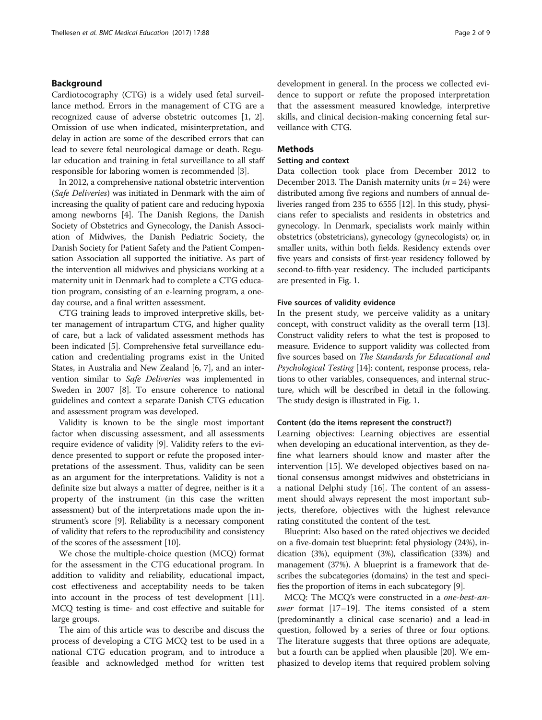## Background

Cardiotocography (CTG) is a widely used fetal surveillance method. Errors in the management of CTG are a recognized cause of adverse obstetric outcomes [\[1](#page-8-0), [2](#page-8-0)]. Omission of use when indicated, misinterpretation, and delay in action are some of the described errors that can lead to severe fetal neurological damage or death. Regular education and training in fetal surveillance to all staff responsible for laboring women is recommended [[3\]](#page-8-0).

In 2012, a comprehensive national obstetric intervention (Safe Deliveries) was initiated in Denmark with the aim of increasing the quality of patient care and reducing hypoxia among newborns [\[4](#page-8-0)]. The Danish Regions, the Danish Society of Obstetrics and Gynecology, the Danish Association of Midwives, the Danish Pediatric Society, the Danish Society for Patient Safety and the Patient Compensation Association all supported the initiative. As part of the intervention all midwives and physicians working at a maternity unit in Denmark had to complete a CTG education program, consisting of an e-learning program, a oneday course, and a final written assessment.

CTG training leads to improved interpretive skills, better management of intrapartum CTG, and higher quality of care, but a lack of validated assessment methods has been indicated [\[5](#page-8-0)]. Comprehensive fetal surveillance education and credentialing programs exist in the United States, in Australia and New Zealand [\[6, 7](#page-8-0)], and an intervention similar to Safe Deliveries was implemented in Sweden in 2007 [\[8\]](#page-8-0). To ensure coherence to national guidelines and context a separate Danish CTG education and assessment program was developed.

Validity is known to be the single most important factor when discussing assessment, and all assessments require evidence of validity [[9\]](#page-8-0). Validity refers to the evidence presented to support or refute the proposed interpretations of the assessment. Thus, validity can be seen as an argument for the interpretations. Validity is not a definite size but always a matter of degree, neither is it a property of the instrument (in this case the written assessment) but of the interpretations made upon the instrument's score [\[9\]](#page-8-0). Reliability is a necessary component of validity that refers to the reproducibility and consistency of the scores of the assessment [[10](#page-8-0)].

We chose the multiple-choice question (MCQ) format for the assessment in the CTG educational program. In addition to validity and reliability, educational impact, cost effectiveness and acceptability needs to be taken into account in the process of test development [\[11](#page-8-0)]. MCQ testing is time- and cost effective and suitable for large groups.

The aim of this article was to describe and discuss the process of developing a CTG MCQ test to be used in a national CTG education program, and to introduce a feasible and acknowledged method for written test development in general. In the process we collected evidence to support or refute the proposed interpretation that the assessment measured knowledge, interpretive skills, and clinical decision-making concerning fetal surveillance with CTG.

## **Methods**

#### Setting and context

Data collection took place from December 2012 to December 2013. The Danish maternity units  $(n = 24)$  were distributed among five regions and numbers of annual deliveries ranged from 235 to 6555 [\[12](#page-8-0)]. In this study, physicians refer to specialists and residents in obstetrics and gynecology. In Denmark, specialists work mainly within obstetrics (obstetricians), gynecology (gynecologists) or, in smaller units, within both fields. Residency extends over five years and consists of first-year residency followed by second-to-fifth-year residency. The included participants are presented in Fig. [1](#page-2-0).

## Five sources of validity evidence

In the present study, we perceive validity as a unitary concept, with construct validity as the overall term [\[13](#page-8-0)]. Construct validity refers to what the test is proposed to measure. Evidence to support validity was collected from five sources based on The Standards for Educational and Psychological Testing [[14](#page-8-0)]: content, response process, relations to other variables, consequences, and internal structure, which will be described in detail in the following. The study design is illustrated in Fig. [1.](#page-2-0)

#### Content (do the items represent the construct?)

Learning objectives: Learning objectives are essential when developing an educational intervention, as they define what learners should know and master after the intervention [\[15](#page-8-0)]. We developed objectives based on national consensus amongst midwives and obstetricians in a national Delphi study [[16](#page-8-0)]. The content of an assessment should always represent the most important subjects, therefore, objectives with the highest relevance rating constituted the content of the test.

Blueprint: Also based on the rated objectives we decided on a five-domain test blueprint: fetal physiology (24%), indication (3%), equipment (3%), classification (33%) and management (37%). A blueprint is a framework that describes the subcategories (domains) in the test and specifies the proportion of items in each subcategory [\[9](#page-8-0)].

MCQ: The MCQ's were constructed in a one-best-answer format [[17](#page-8-0)–[19](#page-8-0)]. The items consisted of a stem (predominantly a clinical case scenario) and a lead-in question, followed by a series of three or four options. The literature suggests that three options are adequate, but a fourth can be applied when plausible [[20\]](#page-8-0). We emphasized to develop items that required problem solving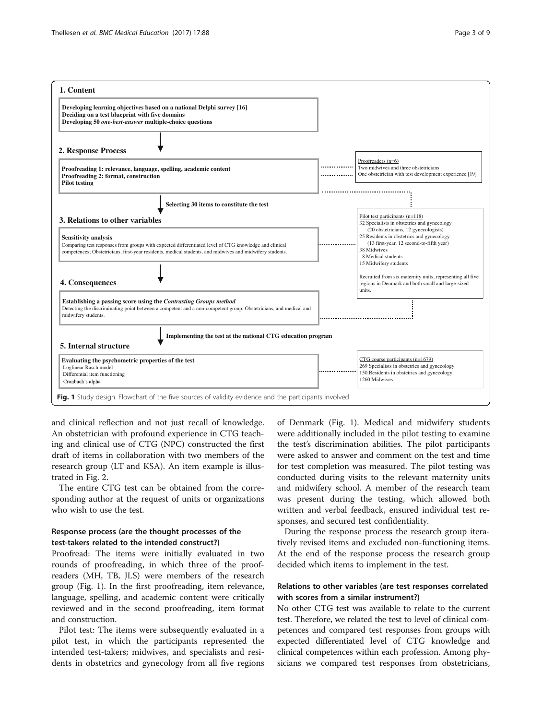<span id="page-2-0"></span>

and clinical reflection and not just recall of knowledge. An obstetrician with profound experience in CTG teaching and clinical use of CTG (NPC) constructed the first draft of items in collaboration with two members of the research group (LT and KSA). An item example is illustrated in Fig. [2.](#page-3-0)

The entire CTG test can be obtained from the corresponding author at the request of units or organizations who wish to use the test.

## Response process (are the thought processes of the test-takers related to the intended construct?)

Proofread: The items were initially evaluated in two rounds of proofreading, in which three of the proofreaders (MH, TB, JLS) were members of the research group (Fig. 1). In the first proofreading, item relevance, language, spelling, and academic content were critically reviewed and in the second proofreading, item format and construction.

Pilot test: The items were subsequently evaluated in a pilot test, in which the participants represented the intended test-takers; midwives, and specialists and residents in obstetrics and gynecology from all five regions of Denmark (Fig. 1). Medical and midwifery students were additionally included in the pilot testing to examine the test's discrimination abilities. The pilot participants were asked to answer and comment on the test and time for test completion was measured. The pilot testing was conducted during visits to the relevant maternity units and midwifery school. A member of the research team was present during the testing, which allowed both written and verbal feedback, ensured individual test responses, and secured test confidentiality.

During the response process the research group iteratively revised items and excluded non-functioning items. At the end of the response process the research group decided which items to implement in the test.

## Relations to other variables (are test responses correlated with scores from a similar instrument?)

No other CTG test was available to relate to the current test. Therefore, we related the test to level of clinical competences and compared test responses from groups with expected differentiated level of CTG knowledge and clinical competences within each profession. Among physicians we compared test responses from obstetricians,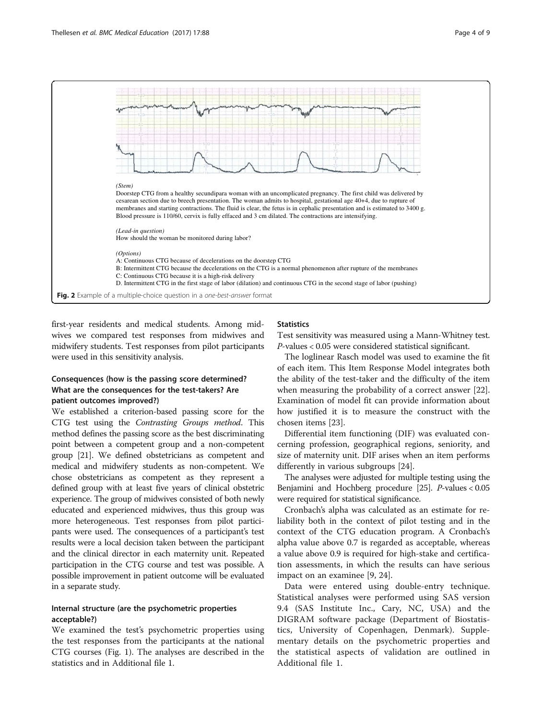<span id="page-3-0"></span>

first-year residents and medical students. Among midwives we compared test responses from midwives and midwifery students. Test responses from pilot participants were used in this sensitivity analysis.

## Consequences (how is the passing score determined? What are the consequences for the test-takers? Are patient outcomes improved?)

We established a criterion-based passing score for the CTG test using the Contrasting Groups method. This method defines the passing score as the best discriminating point between a competent group and a non-competent group [\[21\]](#page-8-0). We defined obstetricians as competent and medical and midwifery students as non-competent. We chose obstetricians as competent as they represent a defined group with at least five years of clinical obstetric experience. The group of midwives consisted of both newly educated and experienced midwives, thus this group was more heterogeneous. Test responses from pilot participants were used. The consequences of a participant's test results were a local decision taken between the participant and the clinical director in each maternity unit. Repeated participation in the CTG course and test was possible. A possible improvement in patient outcome will be evaluated in a separate study.

## Internal structure (are the psychometric properties acceptable?)

We examined the test's psychometric properties using the test responses from the participants at the national CTG courses (Fig. [1\)](#page-2-0). The analyses are described in the statistics and in Additional file [1.](#page-7-0)

## **Statistics**

Test sensitivity was measured using a Mann-Whitney test. P-values < 0.05 were considered statistical significant.

The loglinear Rasch model was used to examine the fit of each item. This Item Response Model integrates both the ability of the test-taker and the difficulty of the item when measuring the probability of a correct answer [\[22](#page-8-0)]. Examination of model fit can provide information about how justified it is to measure the construct with the chosen items [\[23](#page-8-0)].

Differential item functioning (DIF) was evaluated concerning profession, geographical regions, seniority, and size of maternity unit. DIF arises when an item performs differently in various subgroups [[24](#page-8-0)].

The analyses were adjusted for multiple testing using the Benjamini and Hochberg procedure [\[25](#page-8-0)]. P-values < 0.05 were required for statistical significance.

Cronbach's alpha was calculated as an estimate for reliability both in the context of pilot testing and in the context of the CTG education program. A Cronbach's alpha value above 0.7 is regarded as acceptable, whereas a value above 0.9 is required for high-stake and certification assessments, in which the results can have serious impact on an examinee [\[9](#page-8-0), [24](#page-8-0)].

Data were entered using double-entry technique. Statistical analyses were performed using SAS version 9.4 (SAS Institute Inc., Cary, NC, USA) and the DIGRAM software package (Department of Biostatistics, University of Copenhagen, Denmark). Supplementary details on the psychometric properties and the statistical aspects of validation are outlined in Additional file [1](#page-7-0).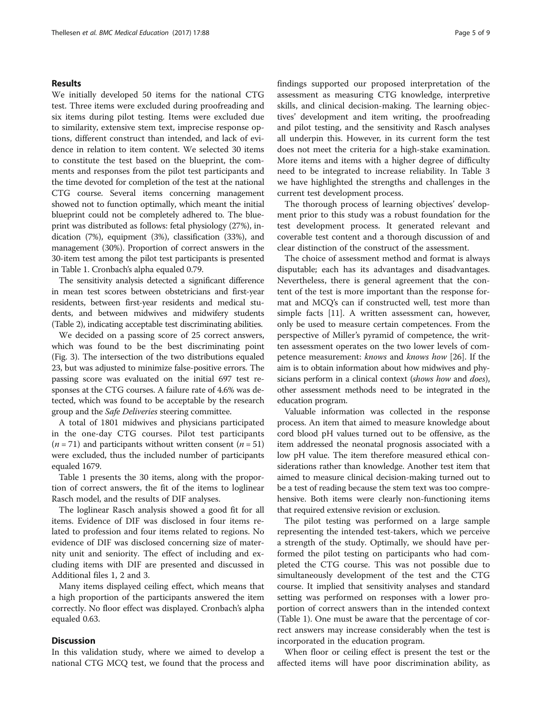### Results

We initially developed 50 items for the national CTG test. Three items were excluded during proofreading and six items during pilot testing. Items were excluded due to similarity, extensive stem text, imprecise response options, different construct than intended, and lack of evidence in relation to item content. We selected 30 items to constitute the test based on the blueprint, the comments and responses from the pilot test participants and the time devoted for completion of the test at the national CTG course. Several items concerning management showed not to function optimally, which meant the initial blueprint could not be completely adhered to. The blueprint was distributed as follows: fetal physiology (27%), indication (7%), equipment (3%), classification (33%), and management (30%). Proportion of correct answers in the 30-item test among the pilot test participants is presented in Table [1](#page-5-0). Cronbach's alpha equaled 0.79.

The sensitivity analysis detected a significant difference in mean test scores between obstetricians and first-year residents, between first-year residents and medical students, and between midwives and midwifery students (Table [2\)](#page-5-0), indicating acceptable test discriminating abilities.

We decided on a passing score of 25 correct answers, which was found to be the best discriminating point (Fig. [3](#page-6-0)). The intersection of the two distributions equaled 23, but was adjusted to minimize false-positive errors. The passing score was evaluated on the initial 697 test responses at the CTG courses. A failure rate of 4.6% was detected, which was found to be acceptable by the research group and the Safe Deliveries steering committee.

A total of 1801 midwives and physicians participated in the one-day CTG courses. Pilot test participants  $(n = 71)$  and participants without written consent  $(n = 51)$ were excluded, thus the included number of participants equaled 1679.

Table [1](#page-5-0) presents the 30 items, along with the proportion of correct answers, the fit of the items to loglinear Rasch model, and the results of DIF analyses.

The loglinear Rasch analysis showed a good fit for all items. Evidence of DIF was disclosed in four items related to profession and four items related to regions. No evidence of DIF was disclosed concerning size of maternity unit and seniority. The effect of including and excluding items with DIF are presented and discussed in Additional files [1, 2](#page-7-0) and [3.](#page-7-0)

Many items displayed ceiling effect, which means that a high proportion of the participants answered the item correctly. No floor effect was displayed. Cronbach's alpha equaled 0.63.

## **Discussion**

In this validation study, where we aimed to develop a national CTG MCQ test, we found that the process and findings supported our proposed interpretation of the assessment as measuring CTG knowledge, interpretive skills, and clinical decision-making. The learning objectives' development and item writing, the proofreading and pilot testing, and the sensitivity and Rasch analyses all underpin this. However, in its current form the test does not meet the criteria for a high-stake examination. More items and items with a higher degree of difficulty need to be integrated to increase reliability. In Table [3](#page-7-0) we have highlighted the strengths and challenges in the current test development process.

The thorough process of learning objectives' development prior to this study was a robust foundation for the test development process. It generated relevant and coverable test content and a thorough discussion of and clear distinction of the construct of the assessment.

The choice of assessment method and format is always disputable; each has its advantages and disadvantages. Nevertheless, there is general agreement that the content of the test is more important than the response format and MCQ's can if constructed well, test more than simple facts [[11\]](#page-8-0). A written assessment can, however, only be used to measure certain competences. From the perspective of Miller's pyramid of competence, the written assessment operates on the two lower levels of competence measurement: knows and knows how [[26\]](#page-8-0). If the aim is to obtain information about how midwives and physicians perform in a clinical context (shows how and does), other assessment methods need to be integrated in the education program.

Valuable information was collected in the response process. An item that aimed to measure knowledge about cord blood pH values turned out to be offensive, as the item addressed the neonatal prognosis associated with a low pH value. The item therefore measured ethical considerations rather than knowledge. Another test item that aimed to measure clinical decision-making turned out to be a test of reading because the stem text was too comprehensive. Both items were clearly non-functioning items that required extensive revision or exclusion.

The pilot testing was performed on a large sample representing the intended test-takers, which we perceive a strength of the study. Optimally, we should have performed the pilot testing on participants who had completed the CTG course. This was not possible due to simultaneously development of the test and the CTG course. It implied that sensitivity analyses and standard setting was performed on responses with a lower proportion of correct answers than in the intended context (Table [1\)](#page-5-0). One must be aware that the percentage of correct answers may increase considerably when the test is incorporated in the education program.

When floor or ceiling effect is present the test or the affected items will have poor discrimination ability, as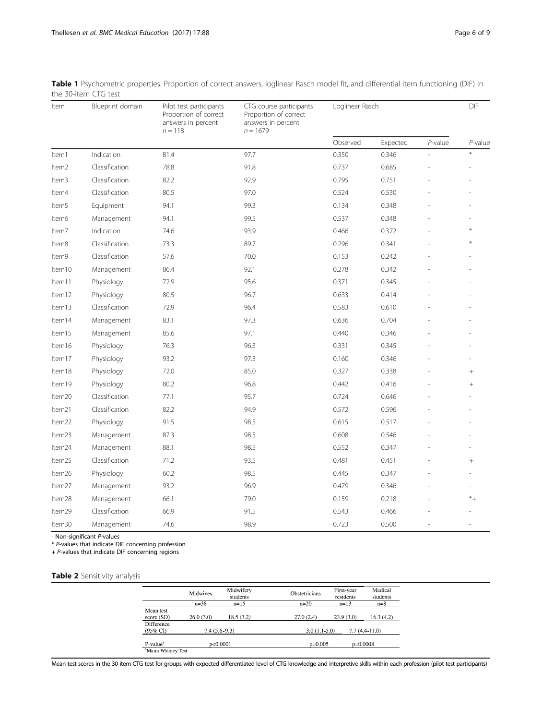| Item   | Blueprint domain | Pilot test participants<br>Proportion of correct<br>answers in percent<br>$n = 118$ | CTG course participants<br>Proportion of correct<br>answers in percent<br>$n = 1679$ | Loglinear Rasch | DIF      |            |            |
|--------|------------------|-------------------------------------------------------------------------------------|--------------------------------------------------------------------------------------|-----------------|----------|------------|------------|
|        |                  |                                                                                     |                                                                                      | Observed        | Expected | $P$ -value | P-value    |
| Item1  | Indication       | 81.4                                                                                | 97.7                                                                                 | 0.350           | 0.346    |            |            |
| Item2  | Classification   | 78.8                                                                                | 91.8                                                                                 | 0.737           | 0.685    |            |            |
| Item3  | Classification   | 82.2                                                                                | 92.9                                                                                 | 0.795           | 0.751    |            |            |
| Item4  | Classification   | 80.5                                                                                | 97.0                                                                                 | 0.524           | 0.530    |            |            |
| Item5  | Equipment        | 94.1                                                                                | 99.3                                                                                 | 0.134           | 0.348    |            |            |
| Item6  | Management       | 94.1                                                                                | 99.5                                                                                 | 0.537           | 0.348    |            |            |
| Item7  | Indication       | 74.6                                                                                | 93.9                                                                                 | 0.466           | 0.372    |            |            |
| Item8  | Classification   | 73.3                                                                                | 89.7                                                                                 | 0.296           | 0.341    |            |            |
| Item9  | Classification   | 57.6                                                                                | 70.0                                                                                 | 0.153           | 0.242    |            |            |
| Item10 | Management       | 86.4                                                                                | 92.1                                                                                 | 0.278           | 0.342    |            |            |
| Item11 | Physiology       | 72.9                                                                                | 95.6                                                                                 | 0.371           | 0.345    |            |            |
| Item12 | Physiology       | 80.5                                                                                | 96.7                                                                                 | 0.633           | 0.414    |            |            |
| Item13 | Classification   | 72.9                                                                                | 96.4                                                                                 | 0.583           | 0.610    |            |            |
| Item14 | Management       | 83.1                                                                                | 97.3                                                                                 | 0.636           | 0.704    |            |            |
| Item15 | Management       | 85.6                                                                                | 97.1                                                                                 | 0.440           | 0.346    |            |            |
| Item16 | Physiology       | 76.3                                                                                | 96.3                                                                                 | 0.331           | 0.345    |            |            |
| Item17 | Physiology       | 93.2                                                                                | 97.3                                                                                 | 0.160           | 0.346    |            |            |
| Item18 | Physiology       | 72.0                                                                                | 85.0                                                                                 | 0.327           | 0.338    |            | $+$        |
| Item19 | Physiology       | 80.2                                                                                | 96.8                                                                                 | 0.442           | 0.416    |            | $^{+}$     |
| Item20 | Classification   | 77.1                                                                                | 95.7                                                                                 | 0.724           | 0.646    |            |            |
| Item21 | Classification   | 82.2                                                                                | 94.9                                                                                 | 0.572           | 0.596    |            |            |
| Item22 | Physiology       | 91.5                                                                                | 98.5                                                                                 | 0.615           | 0.517    |            |            |
| Item23 | Management       | 87.3                                                                                | 98.5                                                                                 | 0.608           | 0.546    |            |            |
| Item24 | Management       | 88.1                                                                                | 98.5                                                                                 | 0.552           | 0.347    |            |            |
| Item25 | Classification   | 71.2                                                                                | 93.5                                                                                 | 0.481           | 0.451    |            | $\ddot{+}$ |
| Item26 | Physiology       | 60.2                                                                                | 98.5                                                                                 | 0.445           | 0.347    |            |            |
| Item27 | Management       | 93.2                                                                                | 96.9                                                                                 | 0.479           | 0.346    |            |            |
| Item28 | Management       | 66.1                                                                                | 79.0                                                                                 | 0.159           | 0.218    |            | $*_{+}$    |
| Item29 | Classification   | 66.9                                                                                | 91.5                                                                                 | 0.543           | 0.466    |            |            |
| Item30 | Management       | 74.6                                                                                | 98.9                                                                                 | 0.723           | 0.500    |            |            |

<span id="page-5-0"></span>Table 1 Psychometric properties. Proportion of correct answers, loglinear Rasch model fit, and differential item functioning (DIF) in the 30-item CTG test

- Non-significant P-values

\* P-values that indicate DIF concerning profession

 $+ P$ -values that indicate DIF concerning regions

## Table 2 Sensitivity analysis

|                                                  | Midwives       | Midwifery<br>students | Obstetricians  | First-year<br>residents | Medical<br>students |  |
|--------------------------------------------------|----------------|-----------------------|----------------|-------------------------|---------------------|--|
|                                                  | $n = 38$       | $n=15$                | $n=20$         | $n=13$                  | $n=8$               |  |
| Mean test<br>score (SD)                          | 26.0(3.0)      | 18.5(3.2)             | 27.0(2.4)      | 23.9(3.0)               | 16.3(4.2)           |  |
| Difference<br>$(95\% \text{ CI})$                | $7.4(5.6-9.3)$ |                       | $3.0(1.1-5.0)$ |                         | $7.7(4.4-11.0)$     |  |
| $P$ -value $a$<br><sup>a</sup> Mann Whitney Test |                | p<0.0001              | $p=0.005$      |                         | $p=0.0008$          |  |

Mean test scores in the 30-item CTG test for groups with expected differentiated level of CTG knowledge and interpretive skills within each profession (pilot test participants)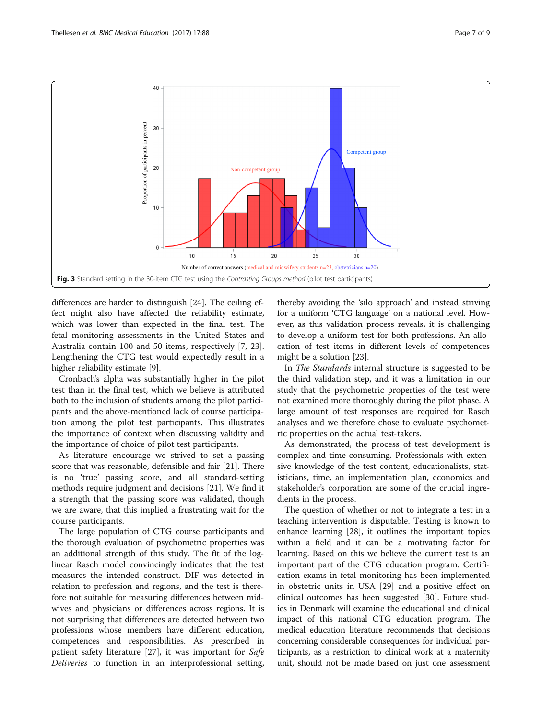<span id="page-6-0"></span>

differences are harder to distinguish [[24\]](#page-8-0). The ceiling effect might also have affected the reliability estimate, which was lower than expected in the final test. The fetal monitoring assessments in the United States and Australia contain 100 and 50 items, respectively [[7, 23](#page-8-0)]. Lengthening the CTG test would expectedly result in a higher reliability estimate [[9\]](#page-8-0).

Cronbach's alpha was substantially higher in the pilot test than in the final test, which we believe is attributed both to the inclusion of students among the pilot participants and the above-mentioned lack of course participation among the pilot test participants. This illustrates the importance of context when discussing validity and the importance of choice of pilot test participants.

As literature encourage we strived to set a passing score that was reasonable, defensible and fair [\[21\]](#page-8-0). There is no 'true' passing score, and all standard-setting methods require judgment and decisions [\[21](#page-8-0)]. We find it a strength that the passing score was validated, though we are aware, that this implied a frustrating wait for the course participants.

The large population of CTG course participants and the thorough evaluation of psychometric properties was an additional strength of this study. The fit of the loglinear Rasch model convincingly indicates that the test measures the intended construct. DIF was detected in relation to profession and regions, and the test is therefore not suitable for measuring differences between midwives and physicians or differences across regions. It is not surprising that differences are detected between two professions whose members have different education, competences and responsibilities. As prescribed in patient safety literature [\[27](#page-8-0)], it was important for Safe Deliveries to function in an interprofessional setting, thereby avoiding the 'silo approach' and instead striving for a uniform 'CTG language' on a national level. However, as this validation process reveals, it is challenging to develop a uniform test for both professions. An allocation of test items in different levels of competences might be a solution [[23](#page-8-0)].

In The Standards internal structure is suggested to be the third validation step, and it was a limitation in our study that the psychometric properties of the test were not examined more thoroughly during the pilot phase. A large amount of test responses are required for Rasch analyses and we therefore chose to evaluate psychometric properties on the actual test-takers.

As demonstrated, the process of test development is complex and time-consuming. Professionals with extensive knowledge of the test content, educationalists, statisticians, time, an implementation plan, economics and stakeholder's corporation are some of the crucial ingredients in the process.

The question of whether or not to integrate a test in a teaching intervention is disputable. Testing is known to enhance learning [\[28\]](#page-8-0), it outlines the important topics within a field and it can be a motivating factor for learning. Based on this we believe the current test is an important part of the CTG education program. Certification exams in fetal monitoring has been implemented in obstetric units in USA [\[29](#page-8-0)] and a positive effect on clinical outcomes has been suggested [[30\]](#page-8-0). Future studies in Denmark will examine the educational and clinical impact of this national CTG education program. The medical education literature recommends that decisions concerning considerable consequences for individual participants, as a restriction to clinical work at a maternity unit, should not be made based on just one assessment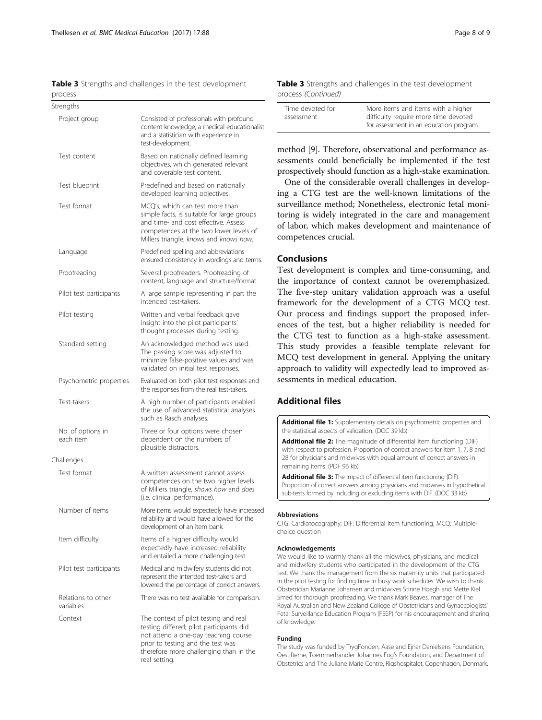<span id="page-7-0"></span>

|         |  |  |  | <b>Table 3</b> Strengths and challenges in the test development |
|---------|--|--|--|-----------------------------------------------------------------|
| process |  |  |  |                                                                 |

| Strengths                       |                                                                                                                                                                                                                           |  |  |  |  |
|---------------------------------|---------------------------------------------------------------------------------------------------------------------------------------------------------------------------------------------------------------------------|--|--|--|--|
| Project group                   | Consisted of professionals with profound<br>content knowledge, a medical educationalist<br>and a statistician with experience in<br>test-development.                                                                     |  |  |  |  |
| Test content                    | Based on nationally defined learning<br>objectives, which generated relevant<br>and coverable test content.                                                                                                               |  |  |  |  |
| Test blueprint                  | Predefined and based on nationally<br>developed learning objectives.                                                                                                                                                      |  |  |  |  |
| Test format                     | MCQ's, which can test more than<br>simple facts, is suitable for large groups<br>and time- and cost effective. Assess<br>competences at the two lower levels of<br>Millers triangle, knows and knows how.                 |  |  |  |  |
| Language                        | Predefined spelling and abbreviations<br>ensured consistency in wordings and terms.                                                                                                                                       |  |  |  |  |
| Proofreading                    | Several proofreaders. Proofreading of<br>content, language and structure/format.                                                                                                                                          |  |  |  |  |
| Pilot test participants         | A large sample representing in part the<br>intended test-takers.                                                                                                                                                          |  |  |  |  |
| Pilot testing                   | Written and verbal feedback gave<br>insight into the pilot participants'<br>thought processes during testing.                                                                                                             |  |  |  |  |
| Standard setting                | An acknowledged method was used.<br>The passing score was adjusted to<br>minimize false-positive values and was<br>validated on initial test responses.                                                                   |  |  |  |  |
| Psychometric properties         | Evaluated on both pilot test responses and<br>the responses from the real test-takers.                                                                                                                                    |  |  |  |  |
| Test-takers                     | A high number of participants enabled<br>the use of advanced statistical analyses<br>such as Rasch analyses.                                                                                                              |  |  |  |  |
| No. of options in<br>each item  | Three or four options were chosen<br>dependent on the numbers of<br>plausible distractors.                                                                                                                                |  |  |  |  |
| Challenges                      |                                                                                                                                                                                                                           |  |  |  |  |
| Test format                     | A written assessment cannot assess<br>competences on the two higher levels<br>of Millers triangle, shows how and does<br>(i.e. clinical performance).                                                                     |  |  |  |  |
| Number of items                 | More items would expectedly have increased<br>reliability and would have allowed for the<br>development of an item bank.                                                                                                  |  |  |  |  |
| Item difficulty                 | Items of a higher difficulty would<br>expectedly have increased reliability<br>and entailed a more challenging test.                                                                                                      |  |  |  |  |
| Pilot test participants         | Medical and midwifery students did not<br>represent the intended test-takers and<br>lowered the percentage of correct answers.                                                                                            |  |  |  |  |
| Relations to other<br>variables | There was no test available for comparison.                                                                                                                                                                               |  |  |  |  |
| Context                         | The context of pilot testing and real<br>testing differed; pilot participants did<br>not attend a one-day teaching course<br>prior to testing and the test was<br>therefore more challenging than in the<br>real setting. |  |  |  |  |

|                     | <b>Table 3</b> Strengths and challenges in the test development |  |  |  |
|---------------------|-----------------------------------------------------------------|--|--|--|
| process (Continued) |                                                                 |  |  |  |

| Time devoted for | More items and items with a higher      |
|------------------|-----------------------------------------|
| assessment       | difficulty require more time devoted    |
|                  | for assessment in an education program. |

method [[9](#page-8-0)]. Therefore, observational and performance assessments could beneficially be implemented if the test prospectively should function as a high-stake examination.

One of the considerable overall challenges in developing a CTG test are the well-known limitations of the surveillance method; Nonetheless, electronic fetal monitoring is widely integrated in the care and management of labor, which makes development and maintenance of competences crucial.

## Conclusions

Test development is complex and time-consuming, and the importance of context cannot be overemphasized. The five-step unitary validation approach was a useful framework for the development of a CTG MCQ test. Our process and findings support the proposed inferences of the test, but a higher reliability is needed for the CTG test to function as a high-stake assessment. This study provides a feasible template relevant for MCQ test development in general. Applying the unitary approach to validity will expectedly lead to improved assessments in medical education.

## Additional files

[Additional file 1:](dx.doi.org/10.1186/s12909-017-0915-2) Supplementary details on psychometric properties and the statistical aspects of validation. (DOC 39 kb)

[Additional file 2:](dx.doi.org/10.1186/s12909-017-0915-2) The magnitude of differential item functioning (DIF) with respect to profession. Proportion of correct answers for item 1, 7, 8 and 28 for physicians and midwives with equal amount of correct answers in remaining items. (PDF 96 kb)

[Additional file 3:](dx.doi.org/10.1186/s12909-017-0915-2) The impact of differential item functioning (DIF). Proportion of correct answers among physicians and midwives in hypothetical sub-tests formed by including or excluding items with DIF. (DOC 33 kb)

#### Abbreviations

CTG: Cardiotocography; DIF: Differential item functioning; MCQ: Multiplechoice question

#### Acknowledgements

We would like to warmly thank all the midwives, physicians, and medical and midwifery students who participated in the development of the CTG test. We thank the management from the six maternity units that participated in the pilot testing for finding time in busy work schedules. We wish to thank Obstetrician Marianne Johansen and midwives Stinne Hoegh and Mette Kiel Smed for thorough proofreading. We thank Mark Beaves, manager of The Royal Australian and New Zealand College of Obstetricians and Gynaecologists' Fetal Surveillance Education Program (FSEP) for his encouragement and sharing of knowledge.

#### Funding

The study was funded by TrygFonden, Aase and Ejnar Danielsens Foundation, Oestifterne, Toemmerhandler Johannes Fog's Foundation, and Department of Obstetrics and The Juliane Marie Centre, Rigshospitalet, Copenhagen, Denmark.